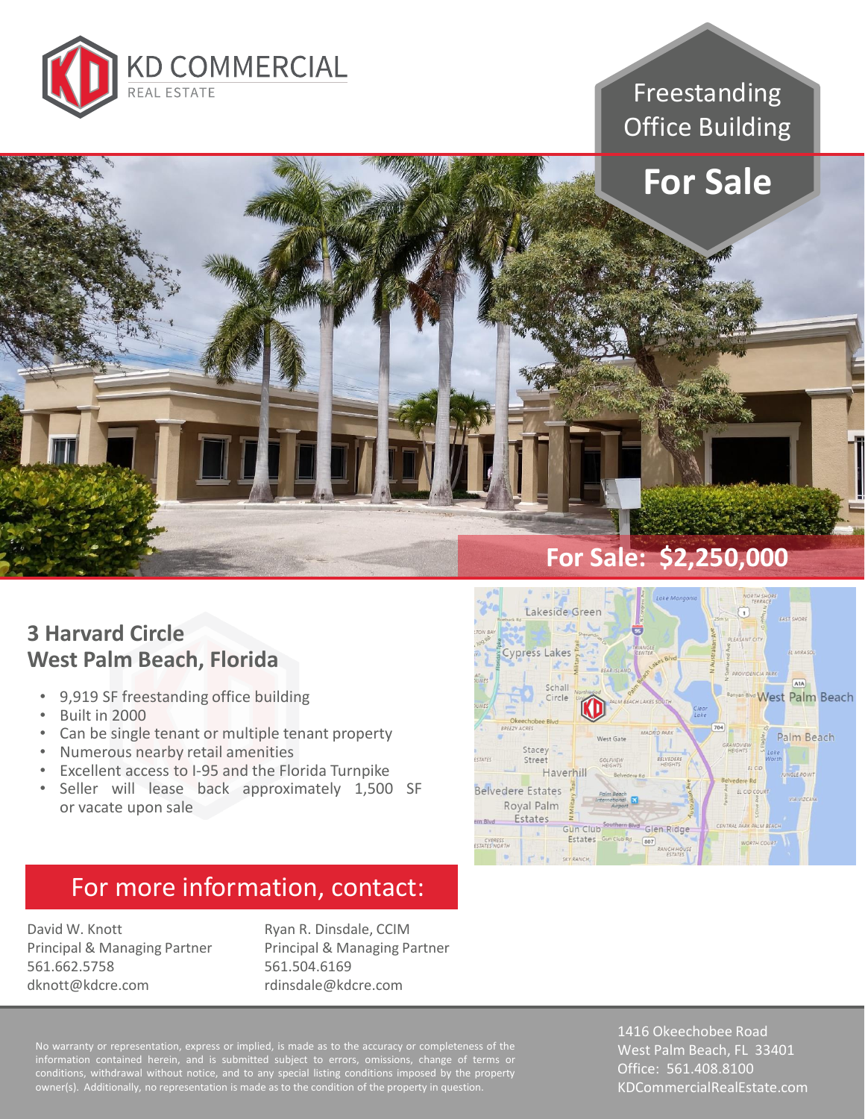

Freestanding Office Building



#### **3 Harvard Circle West Palm Beach, Florida**

- 9,919 SF freestanding office building
- Built in 2000
- Can be single tenant or multiple tenant property
- Numerous nearby retail amenities
- Excellent access to I-95 and the Florida Turnpike
- Seller will lease back approximately 1,500 SF or vacate upon sale

#### **Cypress Lakes** A<sub>1</sub>A Schall **West Palm Beach** Circle **EZY ACRES** Palm Beach Stacey Street Haverhill **Belvedere Estates** EL CID C Royal Palm

<sup>m Blvd</sup> Glen Ridge

Lakeside Green

**Estates** 

Gun Club<sup>30</sup> Estates Gun Club Rd (807)

ern Blyd

CYPRESS

### For more information, contact:

David W. Knott Principal & Managing Partner 561.662.5758 dknott@kdcre.com

Ryan R. Dinsdale, CCIM Principal & Managing Partner 561.504.6169 rdinsdale@kdcre.com

information contained herein, and is submitted subject to errors, omissions, change of terms or conditions, withdrawal without notice, and to any special listing conditions imposed by the property owner(s). Additionally, no representation is made as to the condition of the property in question.

1416 Okeechobee Road West Palm Beach, FL 33401 Office: 561.408.8100 KDCommercialRealEstate.com

K PALM BEACH

WORTH COURT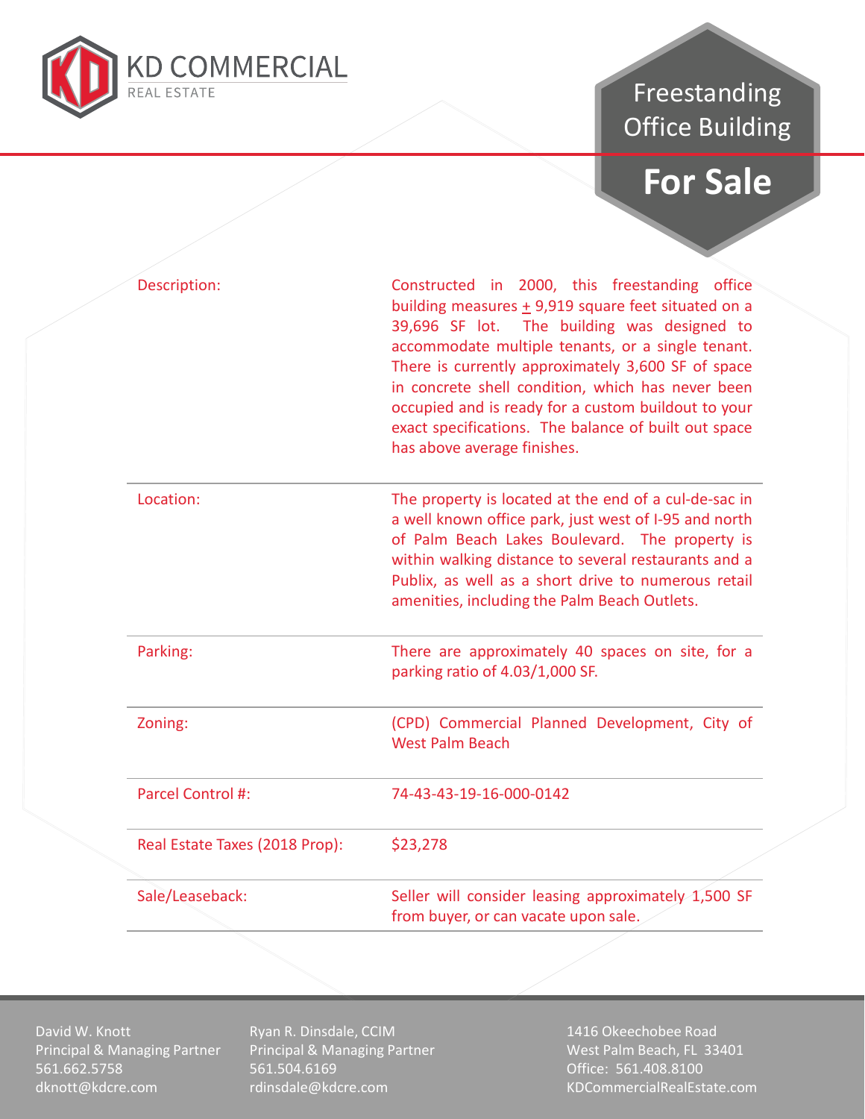

## Freestanding Office Building

# **For Sale**

|  | Description:                   | Constructed in 2000, this freestanding office<br>building measures $\pm$ 9,919 square feet situated on a<br>39,696 SF lot. The building was designed to<br>accommodate multiple tenants, or a single tenant.<br>There is currently approximately 3,600 SF of space<br>in concrete shell condition, which has never been<br>occupied and is ready for a custom buildout to your<br>exact specifications. The balance of built out space<br>has above average finishes. |
|--|--------------------------------|-----------------------------------------------------------------------------------------------------------------------------------------------------------------------------------------------------------------------------------------------------------------------------------------------------------------------------------------------------------------------------------------------------------------------------------------------------------------------|
|  | Location:                      | The property is located at the end of a cul-de-sac in<br>a well known office park, just west of I-95 and north<br>of Palm Beach Lakes Boulevard. The property is<br>within walking distance to several restaurants and a<br>Publix, as well as a short drive to numerous retail<br>amenities, including the Palm Beach Outlets.                                                                                                                                       |
|  | Parking:                       | There are approximately 40 spaces on site, for a<br>parking ratio of 4.03/1,000 SF.                                                                                                                                                                                                                                                                                                                                                                                   |
|  | Zoning:                        | (CPD) Commercial Planned Development, City of<br><b>West Palm Beach</b>                                                                                                                                                                                                                                                                                                                                                                                               |
|  | Parcel Control #:              | 74-43-43-19-16-000-0142                                                                                                                                                                                                                                                                                                                                                                                                                                               |
|  | Real Estate Taxes (2018 Prop): | \$23,278                                                                                                                                                                                                                                                                                                                                                                                                                                                              |
|  | Sale/Leaseback:                | Seller will consider leasing approximately $1,500$ SF<br>from buyer, or can vacate upon sale.                                                                                                                                                                                                                                                                                                                                                                         |
|  |                                |                                                                                                                                                                                                                                                                                                                                                                                                                                                                       |

David W. Knott Principal & Managing Partner 561.662.5758 dknott@kdcre.com

Ryan R. Dinsdale, CCIM Principal & Managing Partner 561.504.6169 rdinsdale@kdcre.com

1416 Okeechobee Road West Palm Beach, FL 33401 Office: 561.408.8100 KDCommercialRealEstate.com